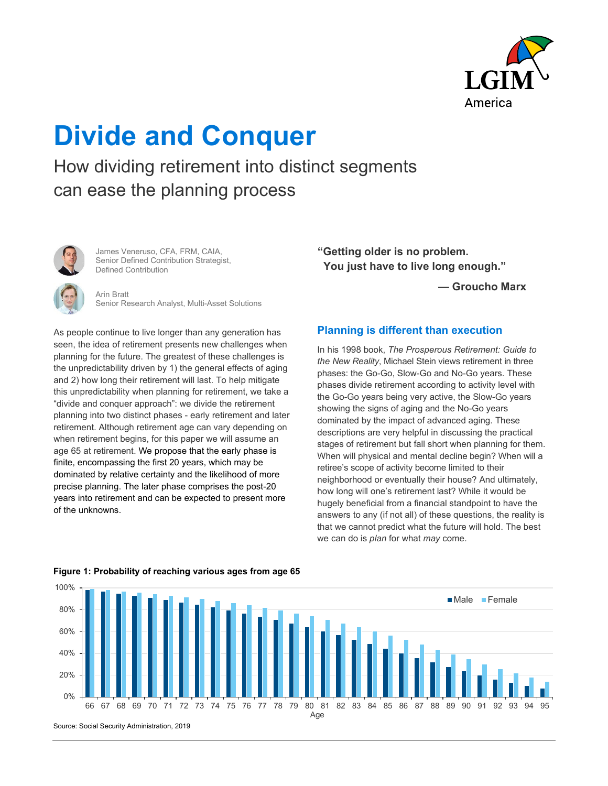

# **Divide and Conquer**

How dividing retirement into distinct segments can ease the planning process



James Veneruso, CFA, FRM, CAIA, Senior Defined Contribution Strategist, Defined Contribution

Arin Bratt Senior Research Analyst, Multi-Asset Solutions

As people continue to live longer than any generation has seen, the idea of retirement presents new challenges when planning for the future. The greatest of these challenges is the unpredictability driven by 1) the general effects of aging and 2) how long their retirement will last. To help mitigate this unpredictability when planning for retirement, we take a "divide and conquer approach": we divide the retirement planning into two distinct phases - early retirement and later retirement. Although retirement age can vary depending on when retirement begins, for this paper we will assume an age 65 at retirement. We propose that the early phase is finite, encompassing the first 20 years, which may be dominated by relative certainty and the likelihood of more precise planning. The later phase comprises the post-20 years into retirement and can be expected to present more of the unknowns.

**"Getting older is no problem. You just have to live long enough."** 

**— Groucho Marx** 

## **Planning is different than execution**

In his 1998 book, *The Prosperous Retirement: Guide to the New Reality*, Michael Stein views retirement in three phases: the Go-Go, Slow-Go and No-Go years. These phases divide retirement according to activity level with the Go-Go years being very active, the Slow-Go years showing the signs of aging and the No-Go years dominated by the impact of advanced aging. These descriptions are very helpful in discussing the practical stages of retirement but fall short when planning for them. When will physical and mental decline begin? When will a retiree's scope of activity become limited to their neighborhood or eventually their house? And ultimately, how long will one's retirement last? While it would be hugely beneficial from a financial standpoint to have the answers to any (if not all) of these questions, the reality is that we cannot predict what the future will hold. The best we can do is *plan* for what *may* come.



## **Figure 1: Probability of reaching various ages from age 65**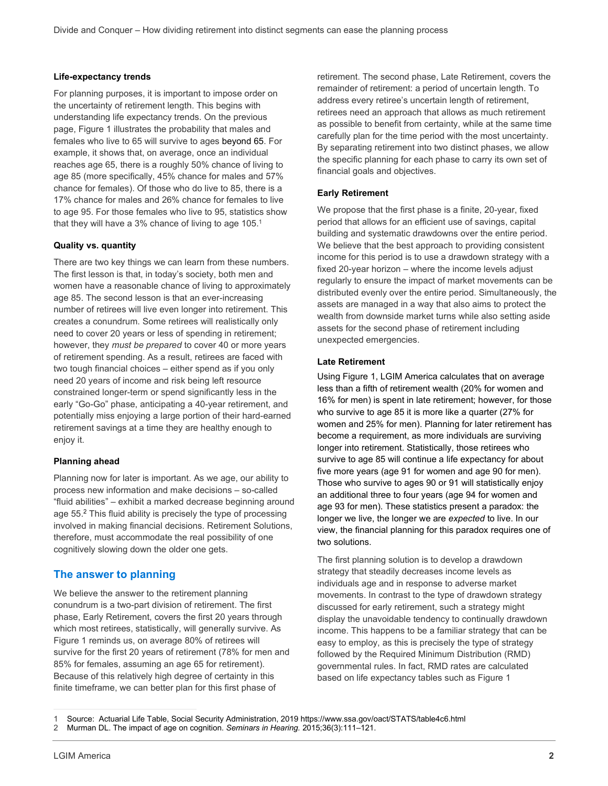### **Life-expectancy trends**

For planning purposes, it is important to impose order on the uncertainty of retirement length. This begins with understanding life expectancy trends. On the previous page, Figure 1 illustrates the probability that males and females who live to 65 will survive to ages beyond 65. For example, it shows that, on average, once an individual reaches age 65, there is a roughly 50% chance of living to age 85 (more specifically, 45% chance for males and 57% chance for females). Of those who do live to 85, there is a 17% chance for males and 26% chance for females to live to age 95. For those females who live to 95, statistics show that they will have a 3% chance of living to age 105.<sup>1</sup>

#### **Quality vs. quantity**

There are two key things we can learn from these numbers. The first lesson is that, in today's society, both men and women have a reasonable chance of living to approximately age 85. The second lesson is that an ever-increasing number of retirees will live even longer into retirement. This creates a conundrum. Some retirees will realistically only need to cover 20 years or less of spending in retirement; however, they *must be prepared* to cover 40 or more years of retirement spending. As a result, retirees are faced with two tough financial choices – either spend as if you only need 20 years of income and risk being left resource constrained longer-term or spend significantly less in the early "Go-Go" phase, anticipating a 40-year retirement, and potentially miss enjoying a large portion of their hard-earned retirement savings at a time they are healthy enough to enjoy it.

#### **Planning ahead**

Planning now for later is important. As we age, our ability to process new information and make decisions – so-called "fluid abilities" – exhibit a marked decrease beginning around age 55.<sup>2</sup> This fluid ability is precisely the type of processing involved in making financial decisions. Retirement Solutions, therefore, must accommodate the real possibility of one cognitively slowing down the older one gets.

## **The answer to planning**

We believe the answer to the retirement planning conundrum is a two-part division of retirement. The first phase, Early Retirement, covers the first 20 years through which most retirees, statistically, will generally survive. As Figure 1 reminds us, on average 80% of retirees will survive for the first 20 years of retirement (78% for men and 85% for females, assuming an age 65 for retirement). Because of this relatively high degree of certainty in this finite timeframe, we can better plan for this first phase of

retirement. The second phase, Late Retirement, covers the remainder of retirement: a period of uncertain length. To address every retiree's uncertain length of retirement, retirees need an approach that allows as much retirement as possible to benefit from certainty, while at the same time carefully plan for the time period with the most uncertainty. By separating retirement into two distinct phases, we allow the specific planning for each phase to carry its own set of financial goals and objectives.

### **Early Retirement**

We propose that the first phase is a finite, 20-year, fixed period that allows for an efficient use of savings, capital building and systematic drawdowns over the entire period. We believe that the best approach to providing consistent income for this period is to use a drawdown strategy with a fixed 20-year horizon – where the income levels adjust regularly to ensure the impact of market movements can be distributed evenly over the entire period. Simultaneously, the assets are managed in a way that also aims to protect the wealth from downside market turns while also setting aside assets for the second phase of retirement including unexpected emergencies.

#### **Late Retirement**

Using Figure 1, LGIM America calculates that on average less than a fifth of retirement wealth (20% for women and 16% for men) is spent in late retirement; however, for those who survive to age 85 it is more like a quarter (27% for women and 25% for men). Planning for later retirement has become a requirement, as more individuals are surviving longer into retirement. Statistically, those retirees who survive to age 85 will continue a life expectancy for about five more years (age 91 for women and age 90 for men). Those who survive to ages 90 or 91 will statistically enjoy an additional three to four years (age 94 for women and age 93 for men). These statistics present a paradox: the longer we live, the longer we are *expected* to live. In our view, the financial planning for this paradox requires one of two solutions.

The first planning solution is to develop a drawdown strategy that steadily decreases income levels as individuals age and in response to adverse market movements. In contrast to the type of drawdown strategy discussed for early retirement, such a strategy might display the unavoidable tendency to continually drawdown income. This happens to be a familiar strategy that can be easy to employ, as this is precisely the type of strategy followed by the Required Minimum Distribution (RMD) governmental rules. In fact, RMD rates are calculated based on life expectancy tables such as Figure 1

<sup>1</sup> Source: Actuarial Life Table, Social Security Administration, 2019 https://www.ssa.gov/oact/STATS/table4c6.html

<sup>2</sup> Murman DL. The impact of age on cognition. *Seminars in Hearing.* 2015;36(3):111–121.